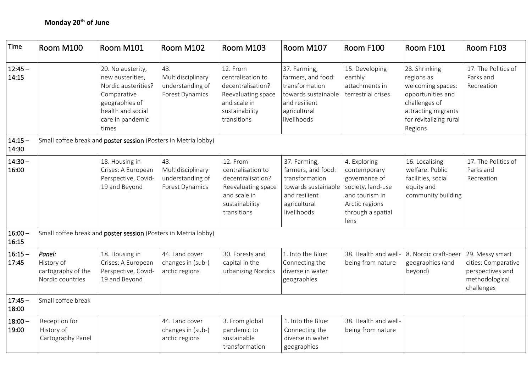| Time               | Room M100                                                       | Room M101                                                                                                                                       | Room M102                                                              | Room M103                                                                                                                 | Room M107                                                                                                                   | Room F100                                                                                                                           | Room F101                                                                                                                                          | Room F103                                                                                  |  |  |
|--------------------|-----------------------------------------------------------------|-------------------------------------------------------------------------------------------------------------------------------------------------|------------------------------------------------------------------------|---------------------------------------------------------------------------------------------------------------------------|-----------------------------------------------------------------------------------------------------------------------------|-------------------------------------------------------------------------------------------------------------------------------------|----------------------------------------------------------------------------------------------------------------------------------------------------|--------------------------------------------------------------------------------------------|--|--|
| $12:45 -$<br>14:15 |                                                                 | 20. No austerity,<br>new austerities,<br>Nordic austerities?<br>Comparative<br>geographies of<br>health and social<br>care in pandemic<br>times | 43.<br>Multidisciplinary<br>understanding of<br><b>Forest Dynamics</b> | 12. From<br>centralisation to<br>decentralisation?<br>Reevaluating space<br>and scale in<br>sustainability<br>transitions | 37. Farming,<br>farmers, and food:<br>transformation<br>towards sustainable<br>and resilient<br>agricultural<br>livelihoods | 15. Developing<br>earthly<br>attachments in<br>terrestrial crises                                                                   | 28. Shrinking<br>regions as<br>welcoming spaces:<br>opportunities and<br>challenges of<br>attracting migrants<br>for revitalizing rural<br>Regions | 17. The Politics of<br>Parks and<br>Recreation                                             |  |  |
| $14:15 -$<br>14:30 | Small coffee break and poster session (Posters in Metria lobby) |                                                                                                                                                 |                                                                        |                                                                                                                           |                                                                                                                             |                                                                                                                                     |                                                                                                                                                    |                                                                                            |  |  |
| $14:30 -$<br>16:00 |                                                                 | 18. Housing in<br>Crises: A European<br>Perspective, Covid-<br>19 and Beyond                                                                    | 43.<br>Multidisciplinary<br>understanding of<br><b>Forest Dynamics</b> | 12. From<br>centralisation to<br>decentralisation?<br>Reevaluating space<br>and scale in<br>sustainability<br>transitions | 37. Farming,<br>farmers, and food:<br>transformation<br>towards sustainable<br>and resilient<br>agricultural<br>livelihoods | 4. Exploring<br>contemporary<br>governance of<br>society, land-use<br>and tourism in<br>Arctic regions<br>through a spatial<br>lens | 16. Localising<br>welfare. Public<br>facilities, social<br>equity and<br>community building                                                        | 17. The Politics of<br>Parks and<br>Recreation                                             |  |  |
| $16:00 -$<br>16:15 | Small coffee break and poster session (Posters in Metria lobby) |                                                                                                                                                 |                                                                        |                                                                                                                           |                                                                                                                             |                                                                                                                                     |                                                                                                                                                    |                                                                                            |  |  |
| $16:15 -$<br>17:45 | Panel:<br>History of<br>cartography of the<br>Nordic countries  | 18. Housing in<br>Crises: A European<br>Perspective, Covid-<br>19 and Beyond                                                                    | 44. Land cover<br>changes in (sub-)<br>arctic regions                  | 30. Forests and<br>capital in the<br>urbanizing Nordics                                                                   | 1. Into the Blue:<br>Connecting the<br>diverse in water<br>geographies                                                      | 38. Health and well-<br>being from nature                                                                                           | 8. Nordic craft-beer<br>geographies (and<br>beyond)                                                                                                | 29. Messy smart<br>cities: Comparative<br>perspectives and<br>methodological<br>challenges |  |  |
| $17:45 -$<br>18:00 | Small coffee break                                              |                                                                                                                                                 |                                                                        |                                                                                                                           |                                                                                                                             |                                                                                                                                     |                                                                                                                                                    |                                                                                            |  |  |
| $18:00 -$<br>19:00 | Reception for<br>History of<br>Cartography Panel                |                                                                                                                                                 | 44. Land cover<br>changes in (sub-)<br>arctic regions                  | 3. From global<br>pandemic to<br>sustainable<br>transformation                                                            | 1. Into the Blue:<br>Connecting the<br>diverse in water<br>geographies                                                      | 38. Health and well-<br>being from nature                                                                                           |                                                                                                                                                    |                                                                                            |  |  |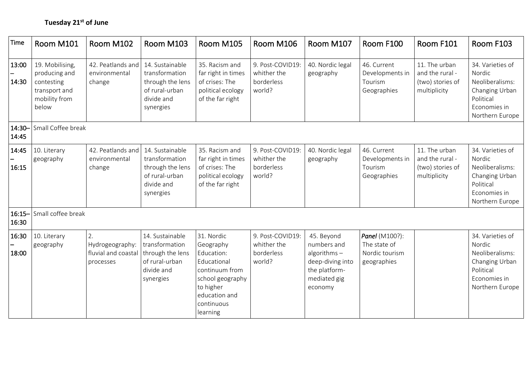| Time               | Room M101                                                                                 | Room M102                                                 | Room M103                                                                                          | Room M105                                                                                                                                          | Room M106                                               | Room M107                                                                                                   | Room F100                                                       | Room F101                                                            | Room F103                                                                                                       |
|--------------------|-------------------------------------------------------------------------------------------|-----------------------------------------------------------|----------------------------------------------------------------------------------------------------|----------------------------------------------------------------------------------------------------------------------------------------------------|---------------------------------------------------------|-------------------------------------------------------------------------------------------------------------|-----------------------------------------------------------------|----------------------------------------------------------------------|-----------------------------------------------------------------------------------------------------------------|
| 13:00<br>14:30     | 19. Mobilising,<br>producing and<br>contesting<br>transport and<br>mobility from<br>below | 42. Peatlands and<br>environmental<br>change              | 14. Sustainable<br>transformation<br>through the lens<br>of rural-urban<br>divide and<br>synergies | 35. Racism and<br>far right in times<br>of crises: The<br>political ecology<br>of the far right                                                    | 9. Post-COVID19:<br>whither the<br>borderless<br>world? | 40. Nordic legal<br>geography                                                                               | 46. Current<br>Developments in<br>Tourism<br>Geographies        | 11. The urban<br>and the rural -<br>(two) stories of<br>multiplicity | 34. Varieties of<br>Nordic<br>Neoliberalisms:<br>Changing Urban<br>Political<br>Economies in<br>Northern Europe |
| $14:30 -$<br>14:45 | Small Coffee break                                                                        |                                                           |                                                                                                    |                                                                                                                                                    |                                                         |                                                                                                             |                                                                 |                                                                      |                                                                                                                 |
| 14:45<br>16:15     | 10. Literary<br>geography                                                                 | 42. Peatlands and<br>environmental<br>change              | 14. Sustainable<br>transformation<br>through the lens<br>of rural-urban<br>divide and<br>synergies | 35. Racism and<br>far right in times<br>of crises: The<br>political ecology<br>of the far right                                                    | 9. Post-COVID19:<br>whither the<br>borderless<br>world? | 40. Nordic legal<br>geography                                                                               | 46. Current<br>Developments in<br>Tourism<br>Geographies        | 11. The urban<br>and the rural -<br>(two) stories of<br>multiplicity | 34. Varieties of<br>Nordic<br>Neoliberalisms:<br>Changing Urban<br>Political<br>Economies in<br>Northern Europe |
| $16:15 -$<br>16:30 | Small coffee break                                                                        |                                                           |                                                                                                    |                                                                                                                                                    |                                                         |                                                                                                             |                                                                 |                                                                      |                                                                                                                 |
| 16:30<br>18:00     | 10. Literary<br>geography                                                                 | 2.<br>Hydrogeography:<br>fluvial and coastal<br>processes | 14. Sustainable<br>transformation<br>through the lens<br>of rural-urban<br>divide and<br>synergies | 31. Nordic<br>Geography<br>Education:<br>Educational<br>continuum from<br>school geography<br>to higher<br>education and<br>continuous<br>learning | 9. Post-COVID19:<br>whither the<br>borderless<br>world? | 45. Beyond<br>numbers and<br>algorithms $-$<br>deep-diving into<br>the platform-<br>mediated gig<br>economy | Panel (M100?):<br>The state of<br>Nordic tourism<br>geographies |                                                                      | 34. Varieties of<br>Nordic<br>Neoliberalisms:<br>Changing Urban<br>Political<br>Economies in<br>Northern Europe |